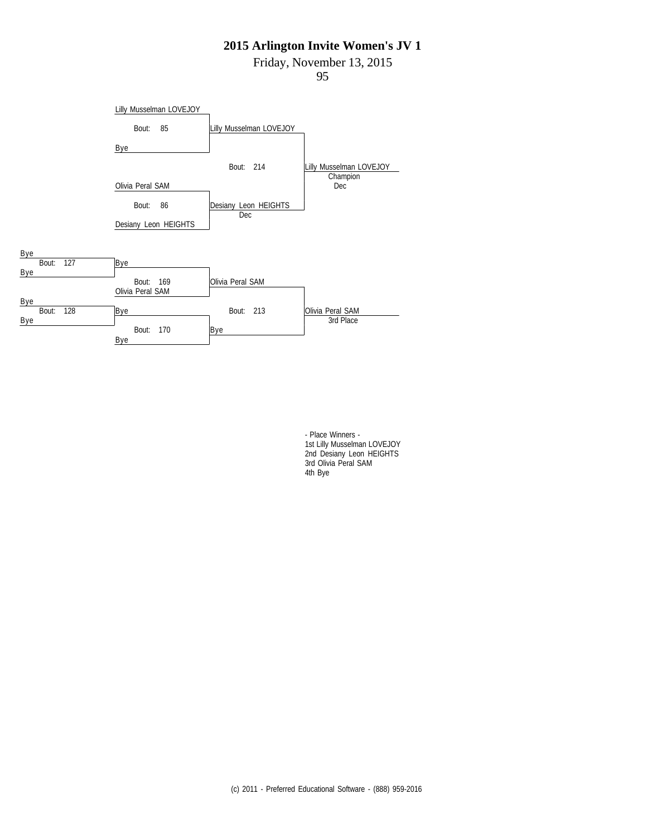Friday, November 13, 2015

95



- Place Winners - 1st Lilly Musselman LOVEJOY 2nd Desiany Leon HEIGHTS 3rd Olivia Peral SAM 4th Bye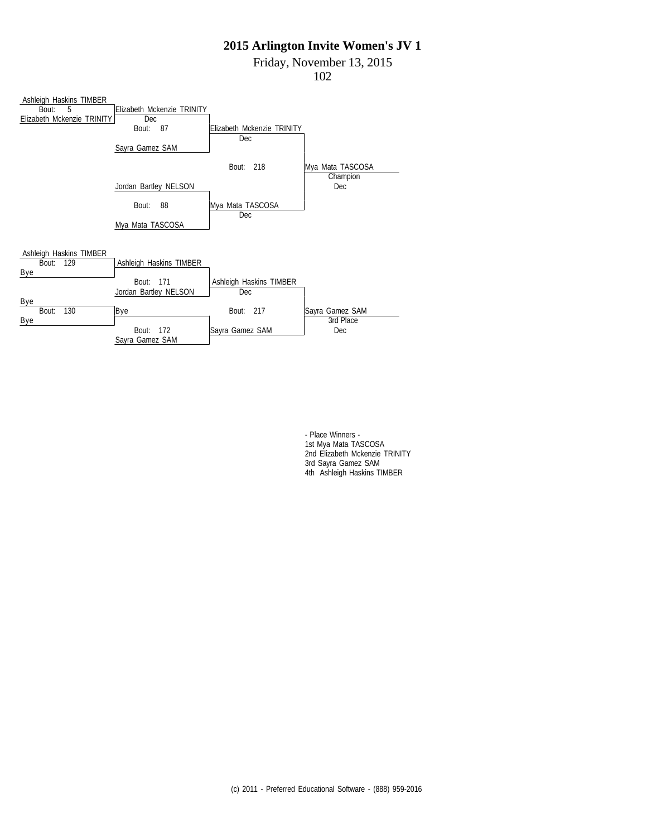Friday, November 13, 2015

102



- Place Winners - 1st Mya Mata TASCOSA 2nd Elizabeth Mckenzie TRINITY 3rd Sayra Gamez SAM 4th Ashleigh Haskins TIMBER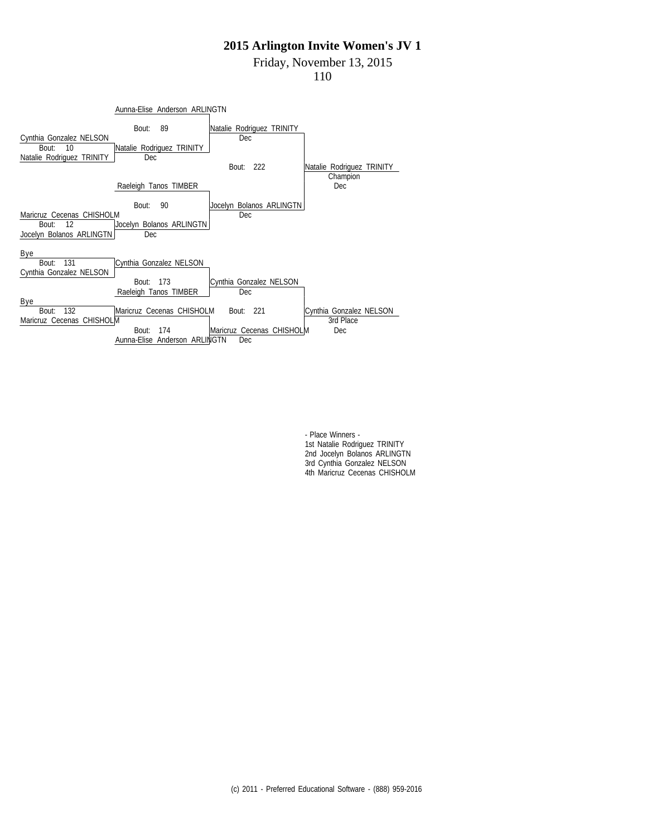Friday, November 13, 2015

110



- Place Winners - 1st Natalie Rodriguez TRINITY 2nd Jocelyn Bolanos ARLINGTN 3rd Cynthia Gonzalez NELSON 4th Maricruz Cecenas CHISHOLM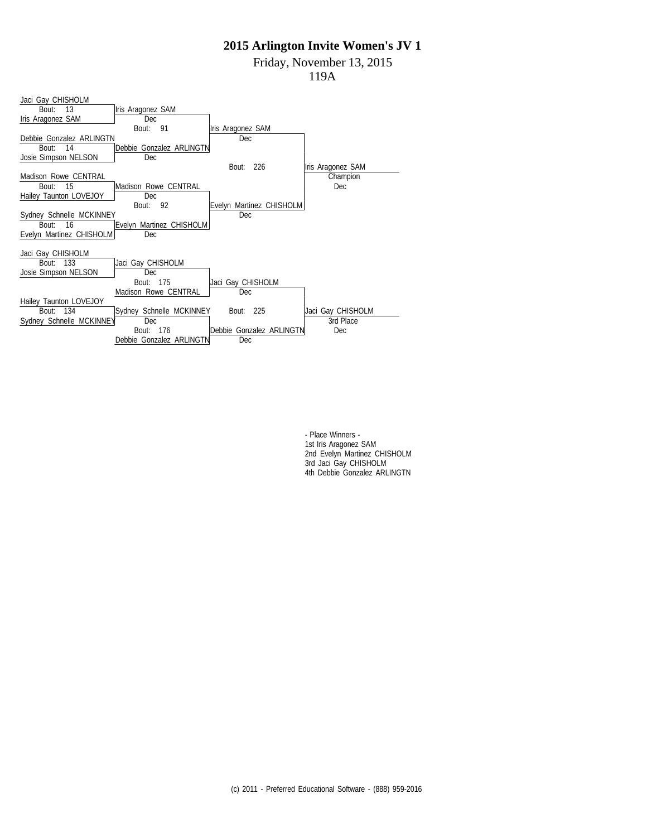Friday, November 13, 2015

119A



- Place Winners - 1st Iris Aragonez SAM 2nd Evelyn Martinez CHISHOLM 3rd Jaci Gay CHISHOLM 4th Debbie Gonzalez ARLINGTN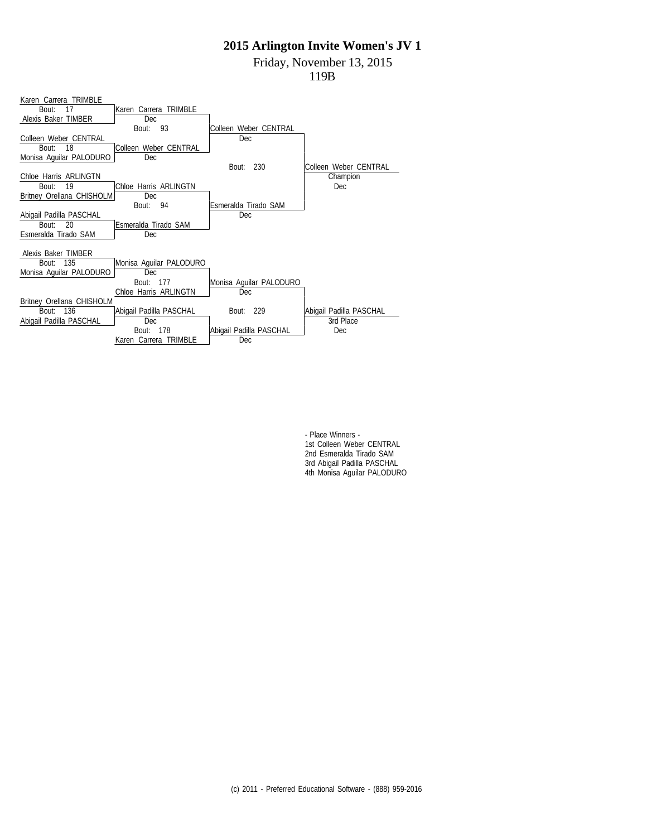Friday, November 13, 2015

119B

| Karen Carrera TRIMBLE     |                         |                         |                         |
|---------------------------|-------------------------|-------------------------|-------------------------|
| 17<br>Bout:               | Karen Carrera TRIMBLE   |                         |                         |
| Alexis Baker TIMBER       | Dec                     |                         |                         |
|                           | 93<br>Bout:             | Colleen Weber CENTRAL   |                         |
| Colleen Weber CENTRAL     |                         | Dec                     |                         |
| 18<br>Bout:               | Colleen Weber CENTRAL   |                         |                         |
| Monisa Aquilar PALODURO   | <b>Dec</b>              |                         |                         |
|                           |                         | 230<br>Bout:            | Colleen Weber CENTRAL   |
| Chloe Harris ARLINGTN     |                         |                         | Champion                |
| 19<br>Bout:               | Chloe Harris ARLINGTN   |                         | Dec                     |
| Britney Orellana CHISHOLM | Dec                     |                         |                         |
|                           | 94<br>Bout:             | Esmeralda Tirado SAM    |                         |
| Abigail Padilla PASCHAL   |                         | Dec                     |                         |
| 20<br>Bout:               | Esmeralda Tirado SAM    |                         |                         |
| Esmeralda Tirado SAM      | Dec                     |                         |                         |
|                           |                         |                         |                         |
| Alexis Baker TIMBER       |                         |                         |                         |
| 135<br>Bout:              | Monisa Aquilar PALODURO |                         |                         |
| Monisa Aquilar PALODURO   | Dec                     |                         |                         |
|                           | Bout: 177               | Monisa Aquilar PALODURO |                         |
|                           | Chloe Harris ARLINGTN   | Dec                     |                         |
| Britney Orellana CHISHOLM |                         |                         |                         |
| 136<br>Bout:              | Abigail Padilla PASCHAL | Bout: 229               | Abigail Padilla PASCHAL |
| Abigail Padilla PASCHAL   | Dec                     |                         | 3rd Place               |
|                           | Bout:<br>- 178          | Abigail Padilla PASCHAL | <b>Dec</b>              |
|                           | Karen Carrera TRIMBLE   | Dec                     |                         |

- Place Winners - 1st Colleen Weber CENTRAL 2nd Esmeralda Tirado SAM 3rd Abigail Padilla PASCHAL 4th Monisa Aguilar PALODURO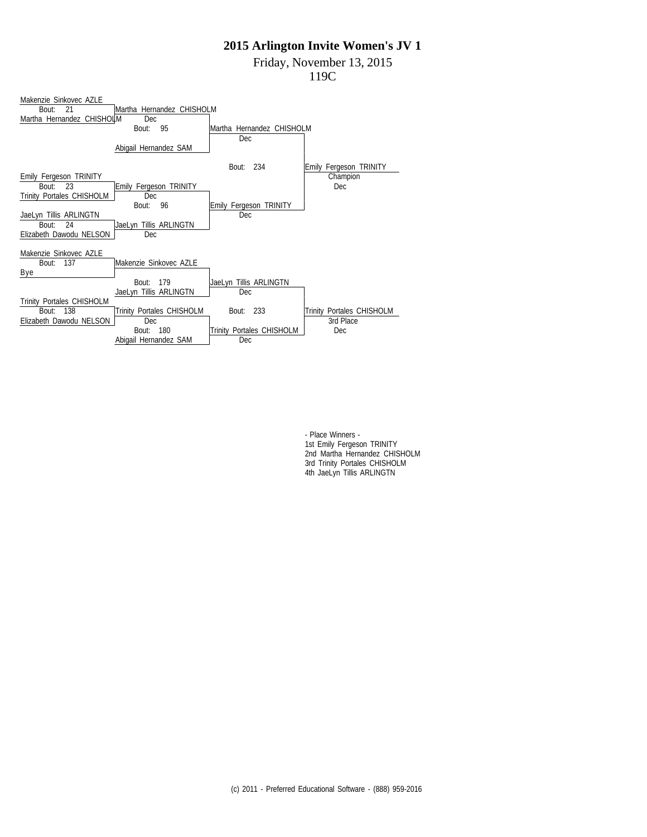Friday, November 13, 2015

119C



- Place Winners - 1st Emily Fergeson TRINITY 2nd Martha Hernandez CHISHOLM 3rd Trinity Portales CHISHOLM 4th JaeLyn Tillis ARLINGTN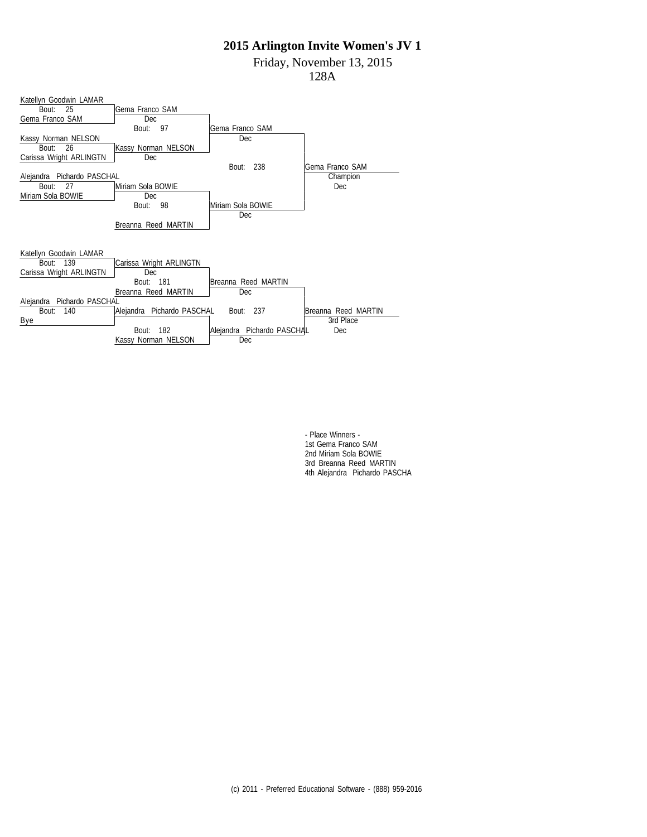Friday, November 13, 2015

128A



- Place Winners - 1st Gema Franco SAM 2nd Miriam Sola BOWIE 3rd Breanna Reed MARTIN 4th Alejandra Pichardo PASCHA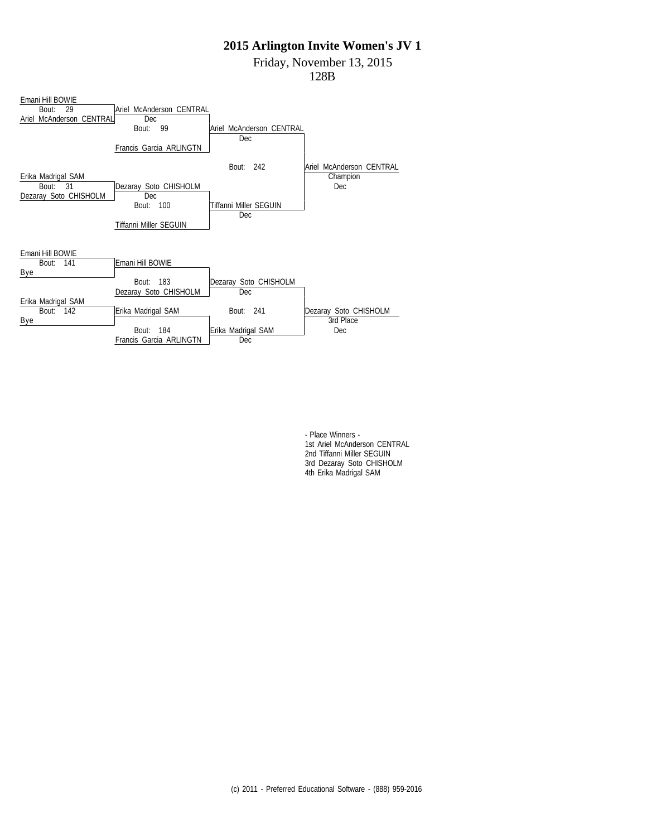Friday, November 13, 2015

128B



- Place Winners - 1st Ariel McAnderson CENTRAL 2nd Tiffanni Miller SEGUIN 3rd Dezaray Soto CHISHOLM 4th Erika Madrigal SAM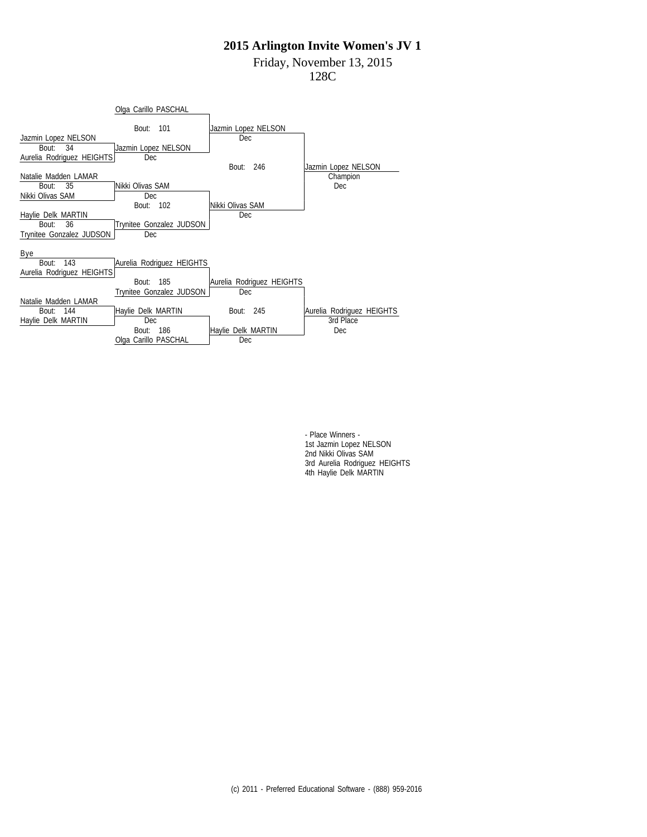### Friday, November 13, 2015

128C



- Place Winners - 1st Jazmin Lopez NELSON 2nd Nikki Olivas SAM 3rd Aurelia Rodriguez HEIGHTS 4th Haylie Delk MARTIN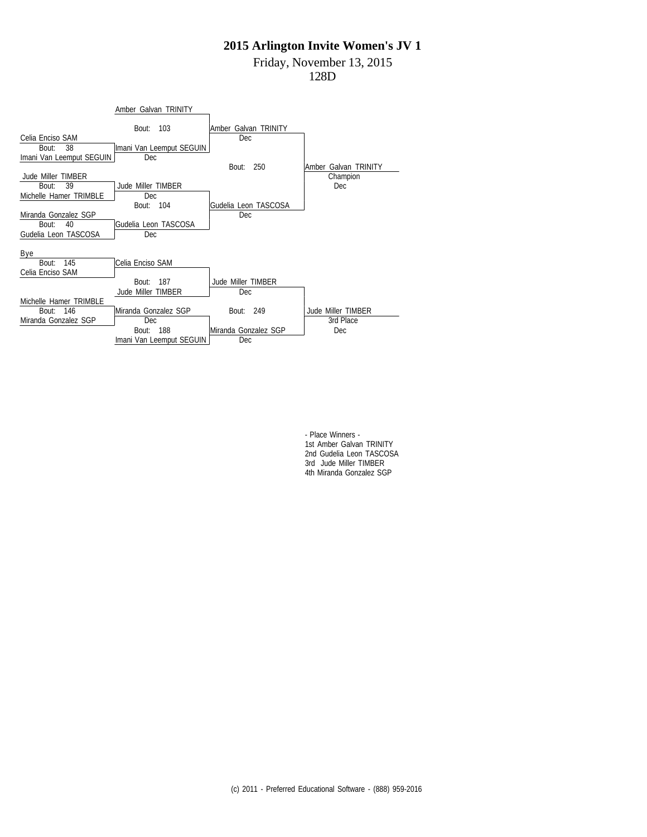## Friday, November 13, 2015

128D



- Place Winners - 1st Amber Galvan TRINITY 2nd Gudelia Leon TASCOSA 3rd Jude Miller TIMBER 4th Miranda Gonzalez SGP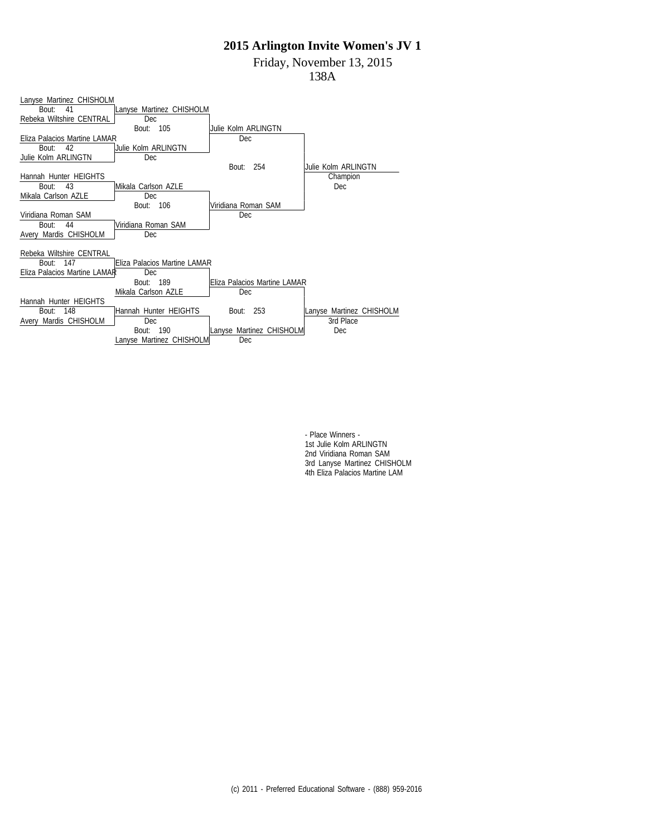Friday, November 13, 2015

138A



- Place Winners - 1st Julie Kolm ARLINGTN 2nd Viridiana Roman SAM 3rd Lanyse Martinez CHISHOLM 4th Eliza Palacios Martine LAM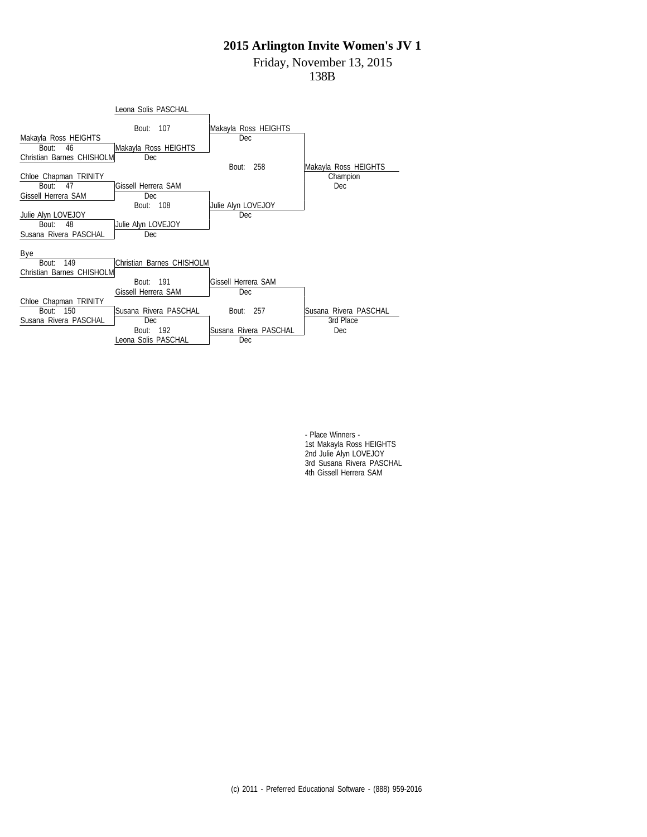# Friday, November 13, 2015

138B



- Place Winners - 1st Makayla Ross HEIGHTS 2nd Julie Alyn LOVEJOY 3rd Susana Rivera PASCHAL 4th Gissell Herrera SAM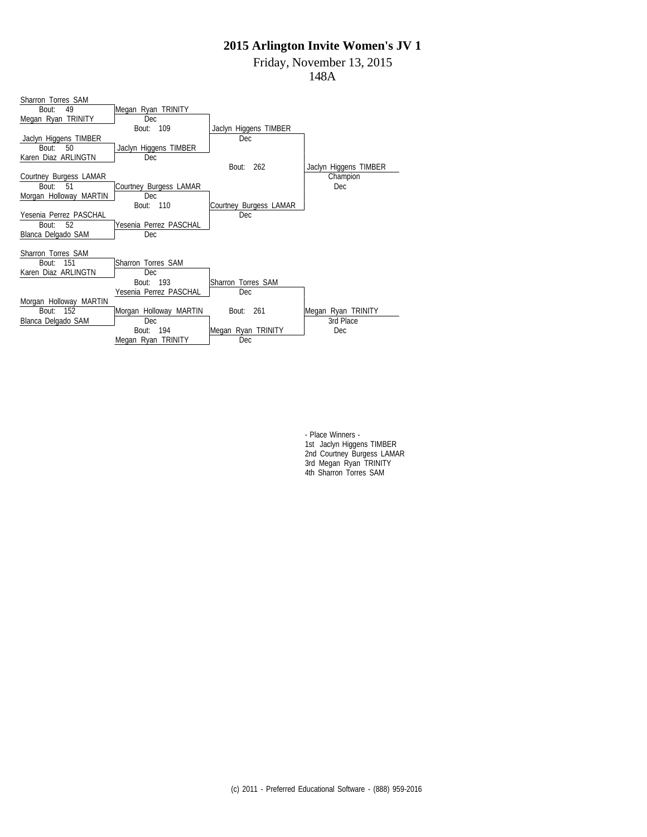Friday, November 13, 2015

148A

| Sharron Torres SAM     |                        |                        |                       |
|------------------------|------------------------|------------------------|-----------------------|
| 49<br>Bout:            | Megan Ryan TRINITY     |                        |                       |
| Megan Ryan TRINITY     | Dec                    |                        |                       |
|                        | Bout: 109              | Jaclyn Higgens TIMBER  |                       |
| Jaclyn Higgens TIMBER  |                        | Dec.                   |                       |
| Bout:<br>50            | Jaclyn Higgens TIMBER  |                        |                       |
| Karen Diaz ARLINGTN    | <b>Dec</b>             |                        |                       |
|                        |                        | 262<br>Bout:           | Jaclyn Higgens TIMBER |
| Courtney Burgess LAMAR |                        |                        | Champion              |
| Bout:<br>51            | Courtney Burgess LAMAR |                        | Dec                   |
| Morgan Holloway MARTIN | Dec                    |                        |                       |
|                        | Bout: 110              | Courtney Burgess LAMAR |                       |
| Yesenia Perrez PASCHAL |                        | Dec                    |                       |
| 52<br>Bout:            | Yesenia Perrez PASCHAL |                        |                       |
| Blanca Delgado SAM     | <b>Dec</b>             |                        |                       |
|                        |                        |                        |                       |
| Sharron Torres SAM     |                        |                        |                       |
| 151<br>Bout:           | Sharron Torres SAM     |                        |                       |
| Karen Diaz ARLINGTN    | <b>Dec</b>             |                        |                       |
|                        | Bout: 193              | Sharron Torres SAM     |                       |
|                        | Yesenia Perrez PASCHAL | Dec                    |                       |
| Morgan Holloway MARTIN |                        |                        |                       |
| Bout: 152              | Morgan Holloway MARTIN | Bout: 261              | Megan Ryan TRINITY    |
| Blanca Delgado SAM     | Dec                    |                        | 3rd Place             |
|                        | 194<br>Bout:           | Megan Ryan TRINITY     | Dec                   |
|                        | Megan Ryan TRINITY     | Dec                    |                       |

- Place Winners - 1st Jaclyn Higgens TIMBER 2nd Courtney Burgess LAMAR 3rd Megan Ryan TRINITY 4th Sharron Torres SAM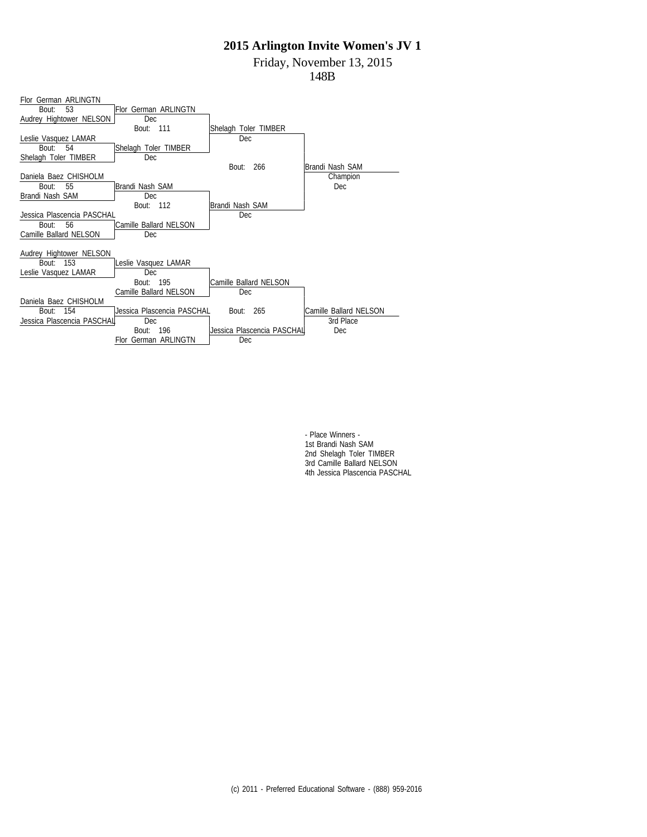Friday, November 13, 2015

148B



- Place Winners - 1st Brandi Nash SAM 2nd Shelagh Toler TIMBER 3rd Camille Ballard NELSON 4th Jessica Plascencia PASCHAL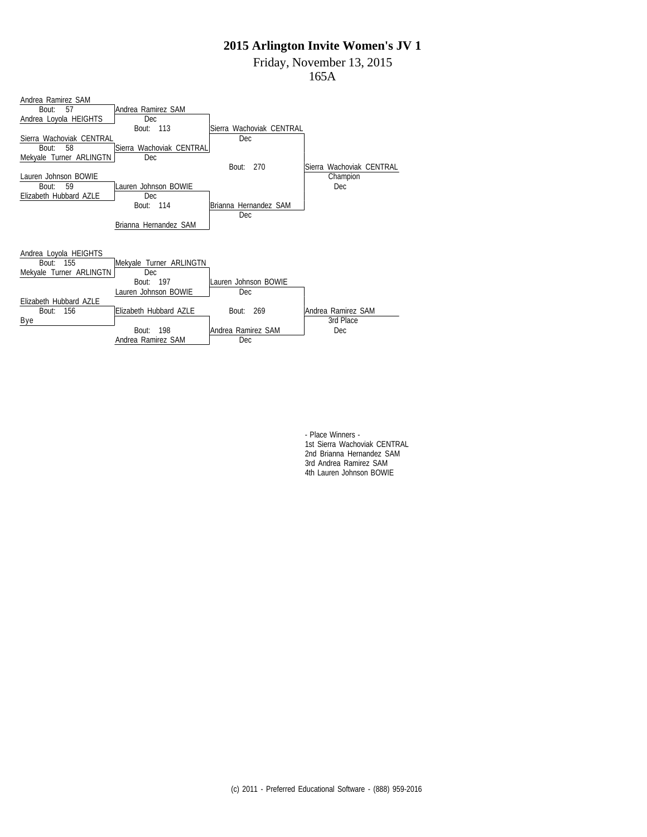Friday, November 13, 2015

165A



- Place Winners - 1st Sierra Wachoviak CENTRAL 2nd Brianna Hernandez SAM 3rd Andrea Ramirez SAM 4th Lauren Johnson BOWIE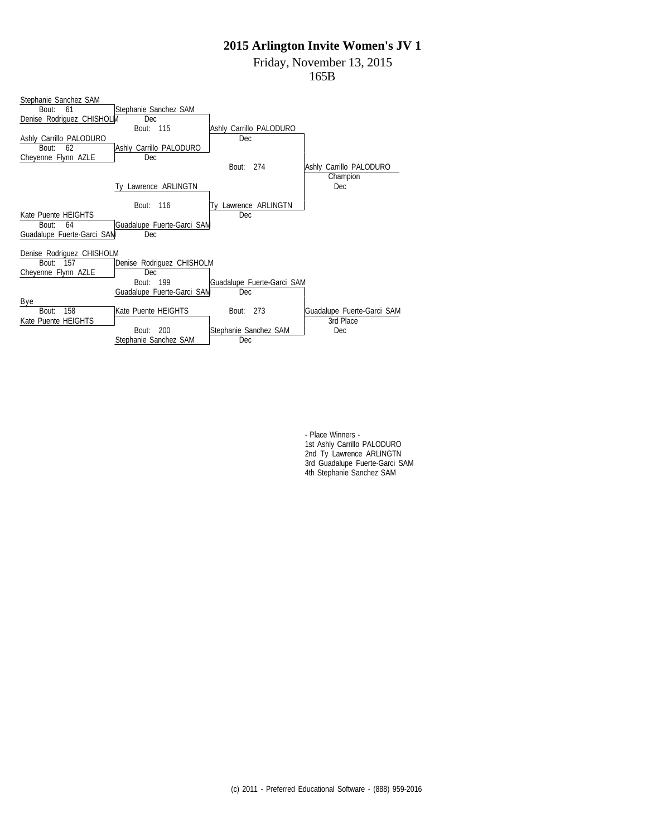Friday, November 13, 2015

165B



- Place Winners - 1st Ashly Carrillo PALODURO 2nd Ty Lawrence ARLINGTN 3rd Guadalupe Fuerte-Garci SAM 4th Stephanie Sanchez SAM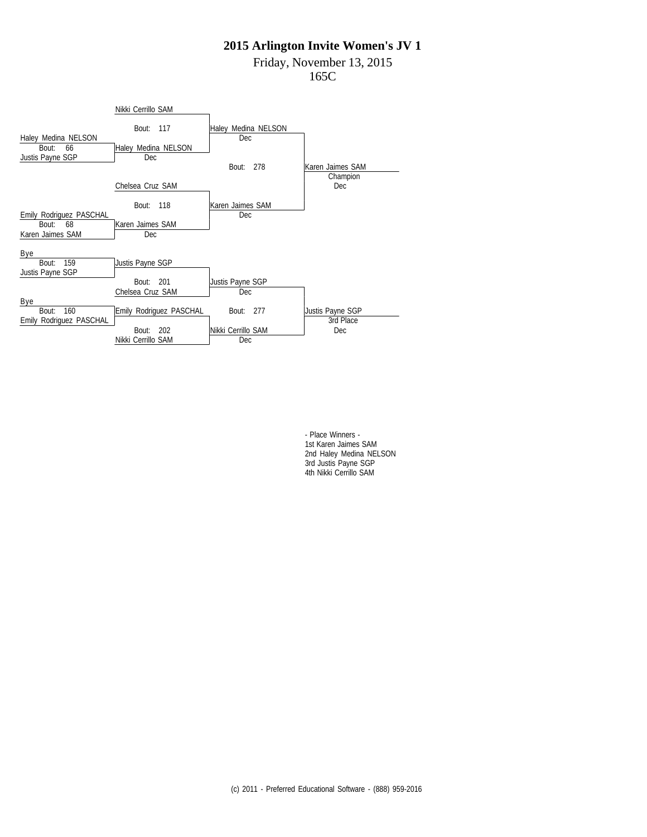# Friday, November 13, 2015

165C



- Place Winners - 1st Karen Jaimes SAM 2nd Haley Medina NELSON 3rd Justis Payne SGP 4th Nikki Cerrillo SAM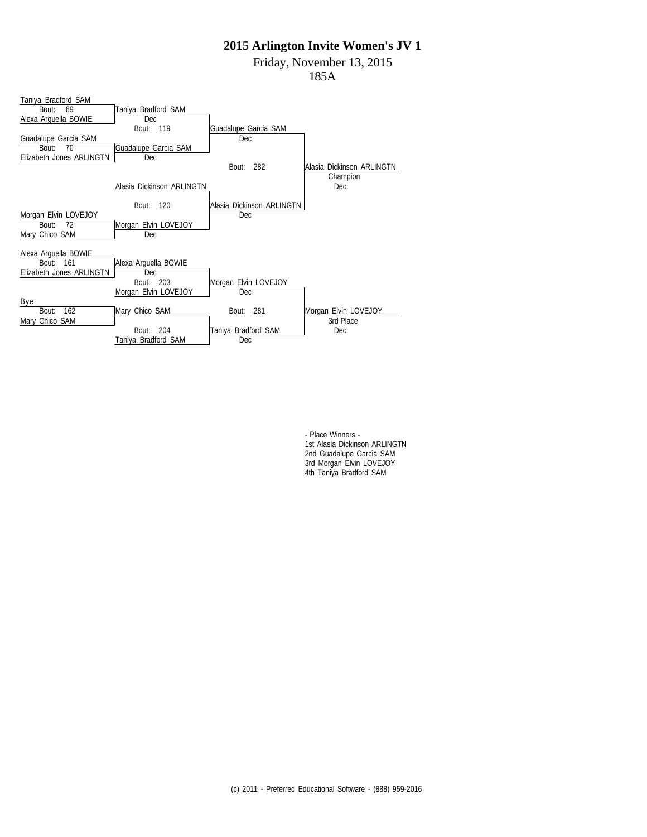Friday, November 13, 2015

185A



- Place Winners - 1st Alasia Dickinson ARLINGTN 2nd Guadalupe Garcia SAM 3rd Morgan Elvin LOVEJOY 4th Taniya Bradford SAM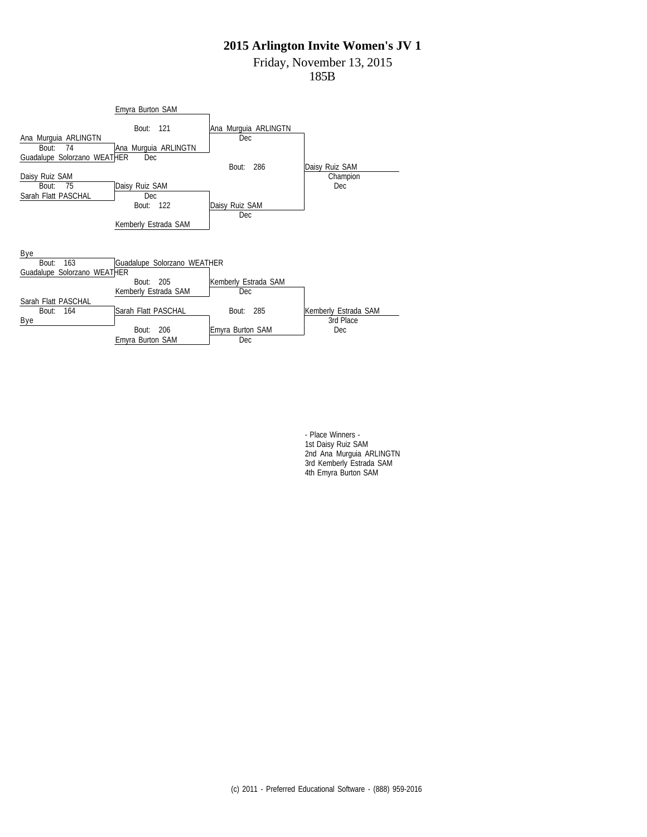# Friday, November 13, 2015

185B



- Place Winners - 1st Daisy Ruiz SAM 2nd Ana Murguia ARLINGTN 3rd Kemberly Estrada SAM 4th Emyra Burton SAM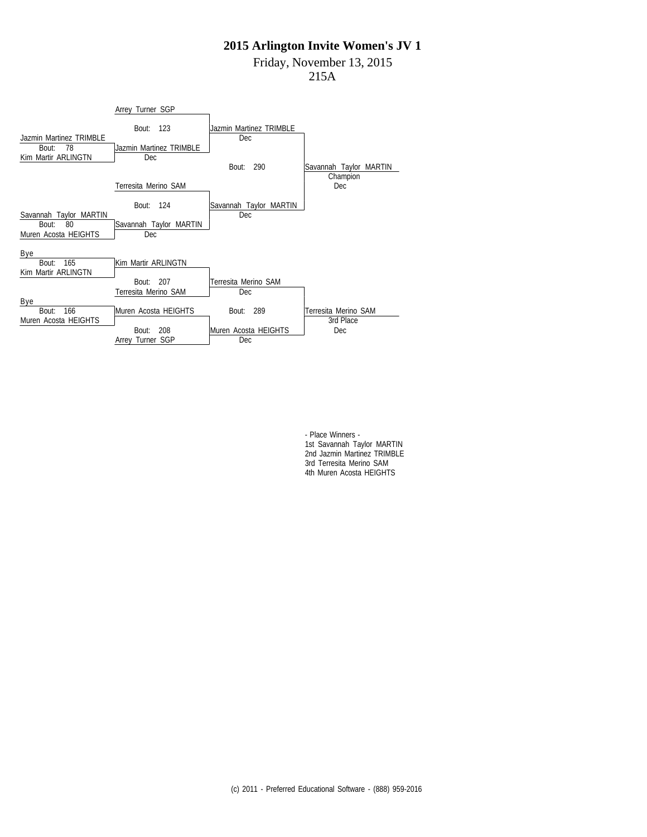## Friday, November 13, 2015

215A



- Place Winners - 1st Savannah Taylor MARTIN 2nd Jazmin Martinez TRIMBLE 3rd Terresita Merino SAM 4th Muren Acosta HEIGHTS